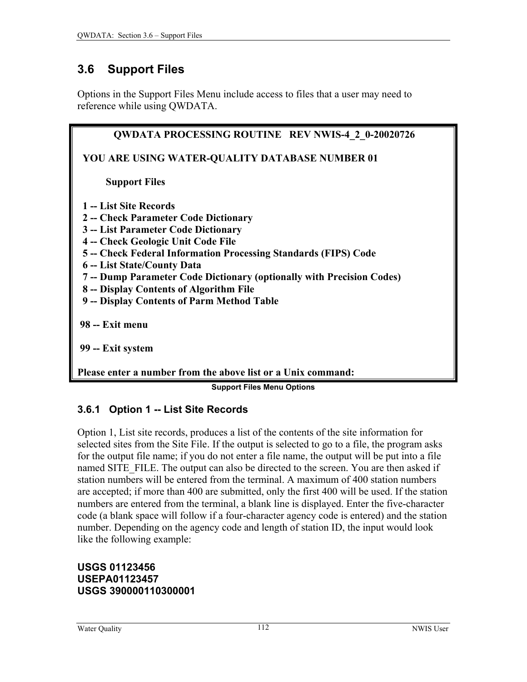## <span id="page-0-0"></span>**3.6 Support Files**

Options in the Support Files Menu include access to files that a user may need to reference while using QWDATA.

| <b>QWDATA PROCESSING ROUTINE REV NWIS-4 2 0-20020726</b>              |
|-----------------------------------------------------------------------|
| YOU ARE USING WATER-QUALITY DATABASE NUMBER 01                        |
| <b>Support Files</b>                                                  |
| 1 -- List Site Records                                                |
| 2 - Check Parameter Code Dictionary                                   |
| 3 -- List Parameter Code Dictionary                                   |
| 4 -- Check Geologic Unit Code File                                    |
| 5 -- Check Federal Information Processing Standards (FIPS) Code       |
| 6 -- List State/County Data                                           |
| 7 -- Dump Parameter Code Dictionary (optionally with Precision Codes) |
| 8 -- Display Contents of Algorithm File                               |
| 9 -- Display Contents of Parm Method Table                            |
| 98 -- Exit menu                                                       |
| 99 -- Exit system                                                     |
|                                                                       |

**Please enter a number from the above list or a Unix command:** 

**Support Files Menu Options**

### **3.6.1 Option 1 -- List Site Records**

Option 1, List site records, produces a list of the contents of the site information for selected sites from the Site File. If the output is selected to go to a file, the program asks for the output file name; if you do not enter a file name, the output will be put into a file named SITE\_FILE. The output can also be directed to the screen. You are then asked if station numbers will be entered from the terminal. A maximum of 400 station numbers are accepted; if more than 400 are submitted, only the first 400 will be used. If the station numbers are entered from the terminal, a blank line is displayed. Enter the five-character code (a blank space will follow if a four-character agency code is entered) and the station number. Depending on the agency code and length of station ID, the input would look like the following example:

#### **USGS 01123456 USEPA01123457 USGS 390000110300001**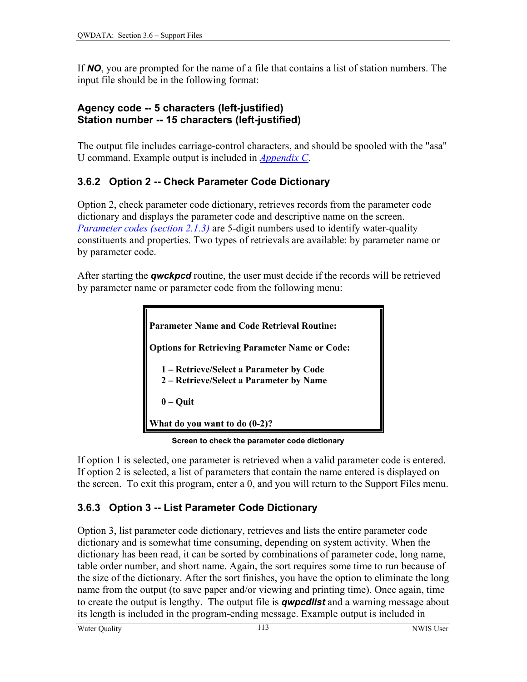If *NO*, you are prompted for the name of a file that contains a list of station numbers. The input file should be in the following format:

### **Agency code -- 5 characters (left-justified) Station number -- 15 characters (left-justified)**

The output file includes carriage-control characters, and should be spooled with the "asa" U command. Example output is included in *[Appendix](#page-0-0) C*.

### **3.6.2 Option 2 -- Check Parameter Code Dictionary**

Option 2, check parameter code dictionary, retrieves records from the parameter code dictionary and displays the parameter code and descriptive name on the screen. *[Parameter codes](#page-0-0) (section 2.1.3)* are 5-digit numbers used to identify water-quality constituents and properties. Two types of retrievals are available: by parameter name or by parameter code.

After starting the *qwckpcd* routine, the user must decide if the records will be retrieved by parameter name or parameter code from the following menu:

```
Parameter Name and Code Retrieval Routine: 
Options for Retrieving Parameter Name or Code: 
   1 – Retrieve/Select a Parameter by Code 
   2 – Retrieve/Select a Parameter by Name 
    0 – Quit 
What do you want to do (0-2)?
```
 **Screen to check the parameter code dictionary**

If option 1 is selected, one parameter is retrieved when a valid parameter code is entered. If option 2 is selected, a list of parameters that contain the name entered is displayed on the screen. To exit this program, enter a 0, and you will return to the Support Files menu.

# **3.6.3 Option 3 -- List Parameter Code Dictionary**

Option 3, list parameter code dictionary, retrieves and lists the entire parameter code dictionary and is somewhat time consuming, depending on system activity. When the dictionary has been read, it can be sorted by combinations of parameter code, long name, table order number, and short name. Again, the sort requires some time to run because of the size of the dictionary. After the sort finishes, you have the option to eliminate the long name from the output (to save paper and/or viewing and printing time). Once again, time to create the output is lengthy. The output file is *qwpcdlist* and a warning message about its length is included in the program-ending message. Example output is included in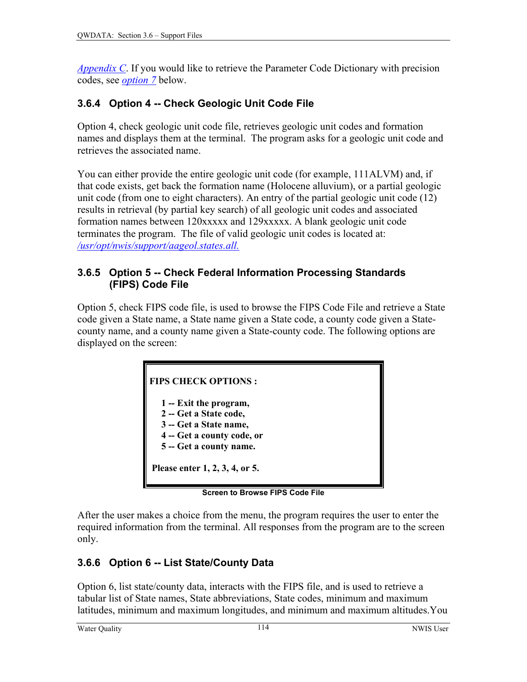*[Appendix C](#page-0-0)*. If you would like to retrieve the Parameter Code Dictionary with precision codes, see *[option 7](#page-3-0)* below.

### **3.6.4 Option 4 -- Check Geologic Unit Code File**

Option 4, check geologic unit code file, retrieves geologic unit codes and formation names and displays them at the terminal. The program asks for a geologic unit code and retrieves the associated name.

You can either provide the entire geologic unit code (for example, 111ALVM) and, if that code exists, get back the formation name (Holocene alluvium), or a partial geologic unit code (from one to eight characters). An entry of the partial geologic unit code (12) results in retrieval (by partial key search) of all geologic unit codes and associated formation names between 120xxxxx and 129xxxxx. A blank geologic unit code terminates the program. The file of valid geologic unit codes is located at: */usr/opt/nwis/support/aageol.states.all.*

### **3.6.5 Option 5 -- Check Federal Information Processing Standards (FIPS) Code File**

Option 5, check FIPS code file, is used to browse the FIPS Code File and retrieve a State code given a State name, a State name given a State code, a county code given a Statecounty name, and a county name given a State-county code. The following options are displayed on the screen:



**Screen to Browse FIPS Code File**

After the user makes a choice from the menu, the program requires the user to enter the required information from the terminal. All responses from the program are to the screen only.

### **3.6.6 Option 6 -- List State/County Data**

Option 6, list state/county data, interacts with the FIPS file, and is used to retrieve a tabular list of State names, State abbreviations, State codes, minimum and maximum latitudes, minimum and maximum longitudes, and minimum and maximum altitudes.You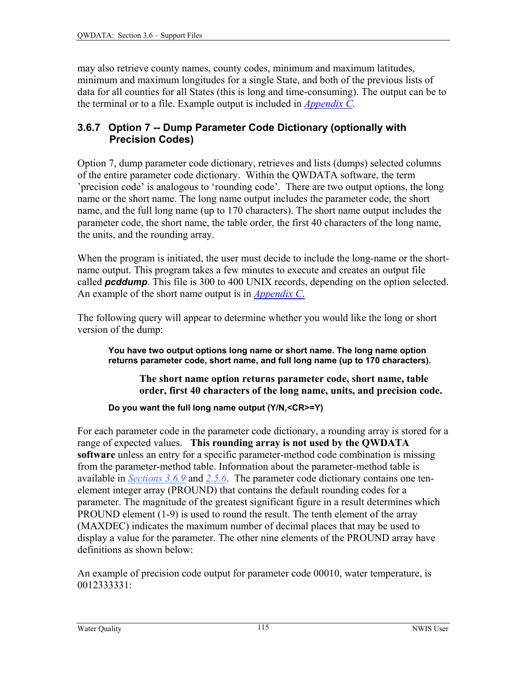<span id="page-3-0"></span>may also retrieve county names, county codes, minimum and maximum latitudes, minimum and maximum longitudes for a single State, and both of the previous lists of data for all counties for all States (this is long and time-consuming). The output can be to the terminal or to a file. Example output is included in *[Appendix](#page-0-0) C.* 

#### **3.6.7 Option 7 -- Dump Parameter Code Dictionary (optionally with Precision Codes)**

Option 7, dump parameter code dictionary, retrieves and lists (dumps) selected columns of the entire parameter code dictionary. Within the QWDATA software, the term 'precision code' is analogous to 'rounding code'. There are two output options, the long name or the short name. The long name output includes the parameter code, the short name, and the full long name (up to 170 characters). The short name output includes the parameter code, the short name, the table order, the first 40 characters of the long name, the units, and the rounding array.

When the program is initiated, the user must decide to include the long-name or the shortname output. This program takes a few minutes to execute and creates an output file called *pcddump*. This file is 300 to 400 UNIX records, depending on the option selected. An example of the short name output is in *[Appendix C](#page-0-0)*.

The following query will appear to determine whether you would like the long or short version of the dump:

**You have two output options long name or short name. The long name option returns parameter code, short name, and full long name (up to 170 characters).** 

**The short name option returns parameter code, short name, table order, first 40 characters of the long name, units, and precision code.** 

**Do you want the full long name output (Y/N,<CR>=Y)** 

For each parameter code in the parameter code dictionary, a rounding array is stored for a range of expected values. **This rounding array is not used by the QWDATA software** unless an entry for a specific parameter-method code combination is missing from the parameter-method table. Information about the parameter-method table is available in *[Sections 3.6.9](#page-5-0)* and *[2.5.6](#page-8-0)*. The parameter code dictionary contains one tenelement integer array (PROUND) that contains the default rounding codes for a parameter. The magnitude of the greatest significant figure in a result determines which PROUND element (1-9) is used to round the result. The tenth element of the array (MAXDEC) indicates the maximum number of decimal places that may be used to display a value for the parameter. The other nine elements of the PROUND array have definitions as shown below:

An example of precision code output for parameter code 00010, water temperature, is 0012333331: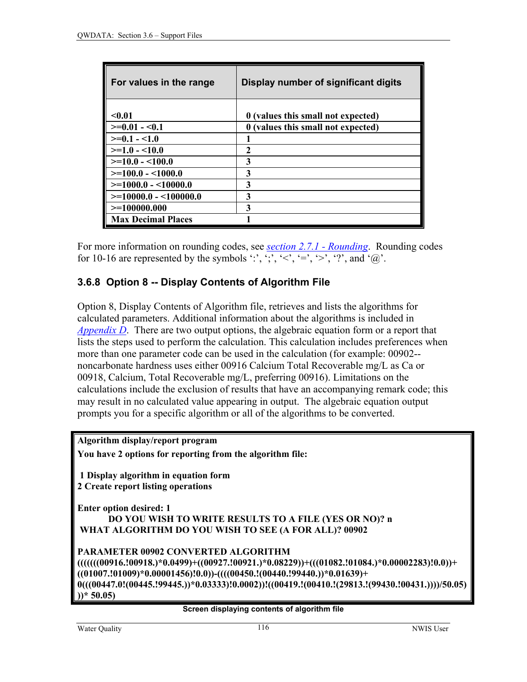| For values in the range   | Display number of significant digits |
|---------------------------|--------------------------------------|
|                           |                                      |
| $0.01$                    | 0 (values this small not expected)   |
| $>=0.01 - 0.1$            | 0 (values this small not expected)   |
| $>=0.1 - 1.0$             |                                      |
| $>=1.0 - 10.0$            | 2                                    |
| $>=10.0 - 100.0$          | 3                                    |
| $>=100.0 - 1000.0$        | 3                                    |
| $>=1000.0 - 10000.0$      | 3                                    |
| $>=10000.0 - 100000.0$    | 3                                    |
| $>=100000.000$            | 3                                    |
| <b>Max Decimal Places</b> |                                      |

For more information on rounding codes, see *[section 2.7.1 - Rounding](#page-11-0)*. Rounding codes for 10-16 are represented by the symbols ':', ';', '<', '=', '>', '?', and ' $\omega$ '.

### **3.6.8 Option 8 -- Display Contents of Algorithm File**

Option 8, Display Contents of Algorithm file, retrieves and lists the algorithms for calculated parameters. Additional information about the algorithms is included in *[Appendix D](#page-0-0)*. There are two output options, the algebraic equation form or a report that lists the steps used to perform the calculation. This calculation includes preferences when more than one parameter code can be used in the calculation (for example: 00902- noncarbonate hardness uses either 00916 Calcium Total Recoverable mg/L as Ca or 00918, Calcium, Total Recoverable mg/L, preferring 00916). Limitations on the calculations include the exclusion of results that have an accompanying remark code; this may result in no calculated value appearing in output. The algebraic equation output prompts you for a specific algorithm or all of the algorithms to be converted.

**Algorithm display/report program You have 2 options for reporting from the algorithm file: 1 Display algorithm in equation form 2 Create report listing operations Enter option desired: 1 DO YOU WISH TO WRITE RESULTS TO A FILE (YES OR NO)? n WHAT ALGORITHM DO YOU WISH TO SEE (A FOR ALL)? 00902 PARAMETER 00902 CONVERTED ALGORITHM (((((((00916.!00918.)\*0.0499)+((00927.!00921.)\*0.08229))+(((01082.!01084.)\*0.00002283)!0.0))+ ((01007.!01009)\*0.00001456)!0.0))-((((00450.!(00440.!99440.))\*0.01639)+ 0(((00447.0!(00445.!99445.))\*0.03333)!0.0002))!((00419.!(00410.!(29813.!(99430.!00431.))))/50.05) ))\* 50.05)** 

#### **Screen displaying contents of algorithm file**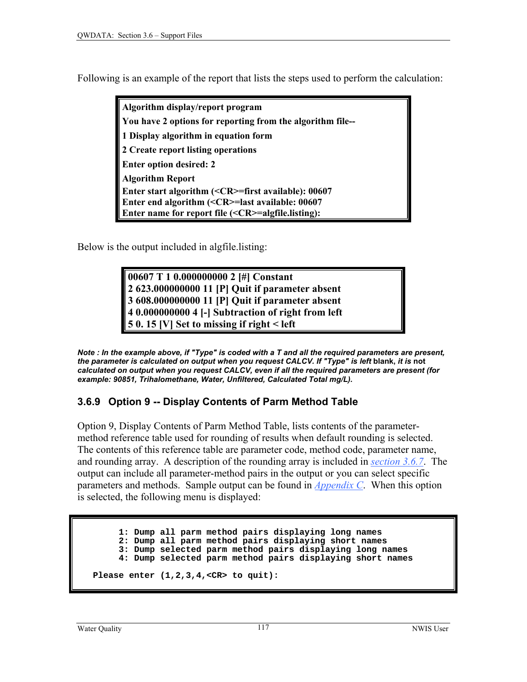<span id="page-5-0"></span>Following is an example of the report that lists the steps used to perform the calculation:

**Algorithm display/report program You have 2 options for reporting from the algorithm file-- 1 Display algorithm in equation form 2 Create report listing operations Enter option desired: 2 Algorithm Report Enter start algorithm (<CR>=first available): 00607 Enter end algorithm (<CR>=last available: 00607 Enter name for report file (<CR>=algfile.listing):** 

Below is the output included in algfile.listing:

**00607 T 1 0.000000000 2 [#] Constant 2 623.000000000 11 [P] Quit if parameter absent 3 608.000000000 11 [P] Quit if parameter absent 4 0.000000000 4 [-] Subtraction of right from left 5 0. 15 [V] Set to missing if right < left** 

*Note : In the example above, if "Type" is coded with a T and all the required parameters are present, the parameter is calculated on output when you request CALCV. If "Type" is left* **blank,** *it is* **not** *calculated on output when you request CALCV, even if all the required parameters are present (for example: 90851, Trihalomethane, Water, Unfiltered, Calculated Total mg/L).* 

### **3.6.9 Option 9 -- Display Contents of Parm Method Table**

Option 9, Display Contents of Parm Method Table, lists contents of the parametermethod reference table used for rounding of results when default rounding is selected. The contents of this reference table are parameter code, method code, parameter name, and rounding array. A description of the rounding array is included in *[section 3.6.7](#page-3-0)*. The output can include all parameter-method pairs in the output or you can select specific parameters and methods. Sample output can be found in *[Appendix C](#page-0-0)*. When this option is selected, the following menu is displayed:

 **1: Dump all parm method pairs displaying long names 2: Dump all parm method pairs displaying short names 3: Dump selected parm method pairs displaying long names 4: Dump selected parm method pairs displaying short names Please enter (1,2,3,4,<CR> to quit):**